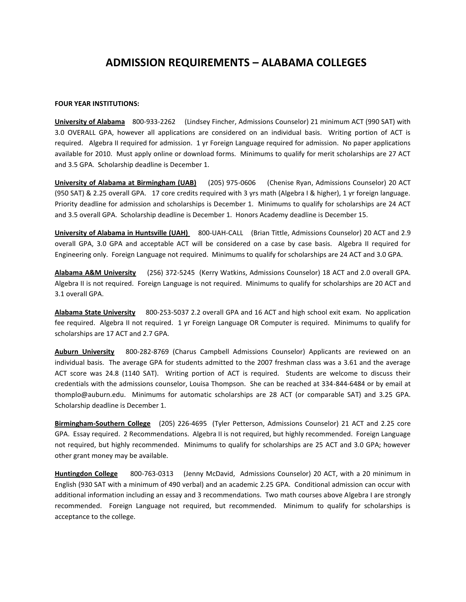## **ADMISSION REQUIREMENTS – ALABAMA COLLEGES**

## **FOUR YEAR INSTITUTIONS:**

**University of Alabama** 800-933-2262 (Lindsey Fincher, Admissions Counselor) 21 minimum ACT (990 SAT) with 3.0 OVERALL GPA, however all applications are considered on an individual basis. Writing portion of ACT is required. Algebra II required for admission. 1 yr Foreign Language required for admission. No paper applications available for 2010. Must apply online or download forms. Minimums to qualify for merit scholarships are 27 ACT and 3.5 GPA. Scholarship deadline is December 1.

**University of Alabama at Birmingham (UAB)** (205) 975-0606 (Chenise Ryan, Admissions Counselor) 20 ACT (950 SAT) & 2.25 overall GPA. 17 core credits required with 3 yrs math (Algebra I & higher), 1 yr foreign language. Priority deadline for admission and scholarships is December 1. Minimums to qualify for scholarships are 24 ACT and 3.5 overall GPA. Scholarship deadline is December 1. Honors Academy deadline is December 15.

**University of Alabama in Huntsville (UAH)** 800-UAH-CALL (Brian Tittle, Admissions Counselor) 20 ACT and 2.9 overall GPA, 3.0 GPA and acceptable ACT will be considered on a case by case basis. Algebra II required for Engineering only. Foreign Language not required. Minimums to qualify for scholarships are 24 ACT and 3.0 GPA.

**Alabama A&M University** (256) 372-5245 (Kerry Watkins, Admissions Counselor) 18 ACT and 2.0 overall GPA. Algebra II is not required. Foreign Language is not required. Minimums to qualify for scholarships are 20 ACT and 3.1 overall GPA.

**Alabama State University** 800-253-5037 2.2 overall GPA and 16 ACT and high school exit exam. No application fee required. Algebra II not required. 1 yr Foreign Language OR Computer is required. Minimums to qualify for scholarships are 17 ACT and 2.7 GPA.

**Auburn University** 800-282-8769 (Charus Campbell Admissions Counselor) Applicants are reviewed on an individual basis. The average GPA for students admitted to the 2007 freshman class was a 3.61 and the average ACT score was 24.8 (1140 SAT). Writing portion of ACT is required. Students are welcome to discuss their credentials with the admissions counselor, Louisa Thompson. She can be reached at 334-844-6484 or by email at thomplo@auburn.edu. Minimums for automatic scholarships are 28 ACT (or comparable SAT) and 3.25 GPA. Scholarship deadline is December 1.

**Birmingham-Southern College** (205) 226-4695 (Tyler Petterson, Admissions Counselor) 21 ACT and 2.25 core GPA. Essay required. 2 Recommendations. Algebra II is not required, but highly recommended. Foreign Language not required, but highly recommended. Minimums to qualify for scholarships are 25 ACT and 3.0 GPA; however other grant money may be available.

**Huntingdon College** 800-763-0313 (Jenny McDavid, Admissions Counselor) 20 ACT, with a 20 minimum in English (930 SAT with a minimum of 490 verbal) and an academic 2.25 GPA. Conditional admission can occur with additional information including an essay and 3 recommendations. Two math courses above Algebra I are strongly recommended. Foreign Language not required, but recommended. Minimum to qualify for scholarships is acceptance to the college.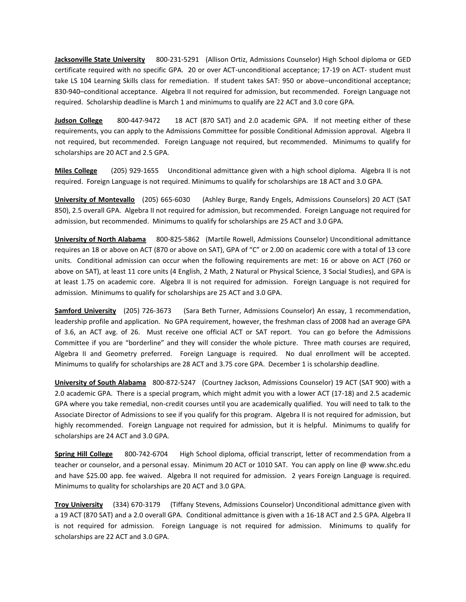**Jacksonville State University** 800-231-5291 (Allison Ortiz, Admissions Counselor) High School diploma or GED certificate required with no specific GPA. 20 or over ACT-unconditional acceptance; 17-19 on ACT- student must take LS 104 Learning Skills class for remediation. If student takes SAT: 950 or above–unconditional acceptance; 830-940–conditional acceptance. Algebra II not required for admission, but recommended. Foreign Language not required. Scholarship deadline is March 1 and minimums to qualify are 22 ACT and 3.0 core GPA.

**Judson College** 800-447-9472 18 ACT (870 SAT) and 2.0 academic GPA. If not meeting either of these requirements, you can apply to the Admissions Committee for possible Conditional Admission approval. Algebra II not required, but recommended. Foreign Language not required, but recommended. Minimums to qualify for scholarships are 20 ACT and 2.5 GPA.

**Miles College** (205) 929-1655 Unconditional admittance given with a high school diploma. Algebra II is not required. Foreign Language is not required. Minimums to qualify for scholarships are 18 ACT and 3.0 GPA.

**University of Montevallo** (205) 665-6030 (Ashley Burge, Randy Engels, Admissions Counselors) 20 ACT (SAT 850), 2.5 overall GPA. Algebra II not required for admission, but recommended. Foreign Language not required for admission, but recommended. Minimums to qualify for scholarships are 25 ACT and 3.0 GPA.

**University of North Alabama** 800-825-5862 (Martile Rowell, Admissions Counselor) Unconditional admittance requires an 18 or above on ACT (870 or above on SAT), GPA of "C" or 2.00 on academic core with a total of 13 core units. Conditional admission can occur when the following requirements are met: 16 or above on ACT (760 or above on SAT), at least 11 core units (4 English, 2 Math, 2 Natural or Physical Science, 3 Social Studies), and GPA is at least 1.75 on academic core. Algebra II is not required for admission. Foreign Language is not required for admission. Minimums to qualify for scholarships are 25 ACT and 3.0 GPA.

**Samford University** (205) 726-3673 (Sara Beth Turner, Admissions Counselor) An essay, 1 recommendation, leadership profile and application. No GPA requirement, however, the freshman class of 2008 had an average GPA of 3.6, an ACT avg. of 26. Must receive one official ACT or SAT report. You can go before the Admissions Committee if you are "borderline" and they will consider the whole picture. Three math courses are required, Algebra II and Geometry preferred. Foreign Language is required. No dual enrollment will be accepted. Minimums to qualify for scholarships are 28 ACT and 3.75 core GPA. December 1 is scholarship deadline.

**University of South Alabama** 800-872-5247 (Courtney Jackson, Admissions Counselor) 19 ACT (SAT 900) with a 2.0 academic GPA. There is a special program, which might admit you with a lower ACT (17-18) and 2.5 academic GPA where you take remedial, non-credit courses until you are academically qualified. You will need to talk to the Associate Director of Admissions to see if you qualify for this program. Algebra II is not required for admission, but highly recommended. Foreign Language not required for admission, but it is helpful. Minimums to qualify for scholarships are 24 ACT and 3.0 GPA.

**Spring Hill College** 800-742-6704 High School diploma, official transcript, letter of recommendation from a teacher or counselor, and a personal essay. Minimum 20 ACT or 1010 SAT. You can apply on line @ www.shc.edu and have \$25.00 app. fee waived. Algebra II not required for admission. 2 years Foreign Language is required. Minimums to quality for scholarships are 20 ACT and 3.0 GPA.

**Troy University** (334) 670-3179 (Tiffany Stevens, Admissions Counselor) Unconditional admittance given with a 19 ACT (870 SAT) and a 2.0 overall GPA. Conditional admittance is given with a 16-18 ACT and 2.5 GPA. Algebra II is not required for admission. Foreign Language is not required for admission. Minimums to qualify for scholarships are 22 ACT and 3.0 GPA.